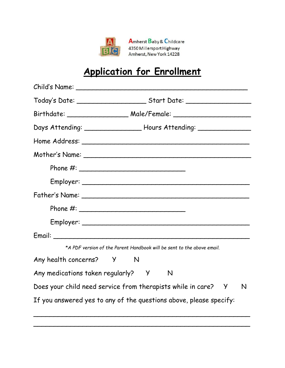

Amherst Baby & Childcare 4350 Millersport Highway Amherst, New York 14228

## **Application for Enrollment**

| Days Attending: _____________________ Hours Attending: ___________________ |   |
|----------------------------------------------------------------------------|---|
|                                                                            |   |
|                                                                            |   |
|                                                                            |   |
|                                                                            |   |
|                                                                            |   |
|                                                                            |   |
|                                                                            |   |
|                                                                            |   |
| *A PDF version of the Parent Handbook will be sent to the above email.     |   |
| Any health concerns? Y N                                                   |   |
| Any medications taken regularly? Y<br>N                                    |   |
| Does your child need service from therapists while in care? Y              | N |
| If you answered yes to any of the questions above, please specify:         |   |

\_\_\_\_\_\_\_\_\_\_\_\_\_\_\_\_\_\_\_\_\_\_\_\_\_\_\_\_\_\_\_\_\_\_\_\_\_\_\_\_\_\_\_\_\_\_\_\_\_\_\_\_\_

\_\_\_\_\_\_\_\_\_\_\_\_\_\_\_\_\_\_\_\_\_\_\_\_\_\_\_\_\_\_\_\_\_\_\_\_\_\_\_\_\_\_\_\_\_\_\_\_\_\_\_\_\_